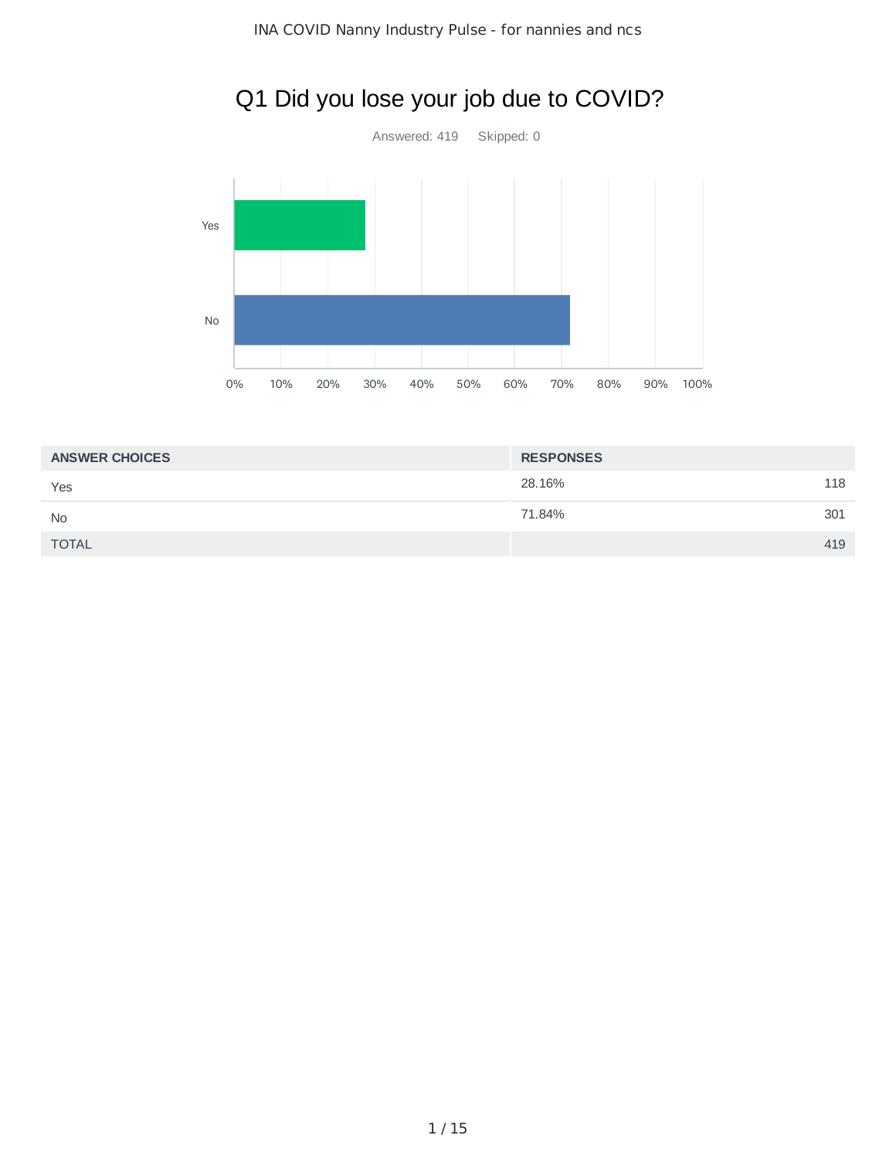

# Q1 Did you lose your job due to COVID?

| <b>ANSWER CHOICES</b> | <b>RESPONSES</b> |     |
|-----------------------|------------------|-----|
| Yes                   | 28.16%           | 118 |
| <b>No</b>             | 71.84%           | 301 |
| <b>TOTAL</b>          |                  | 419 |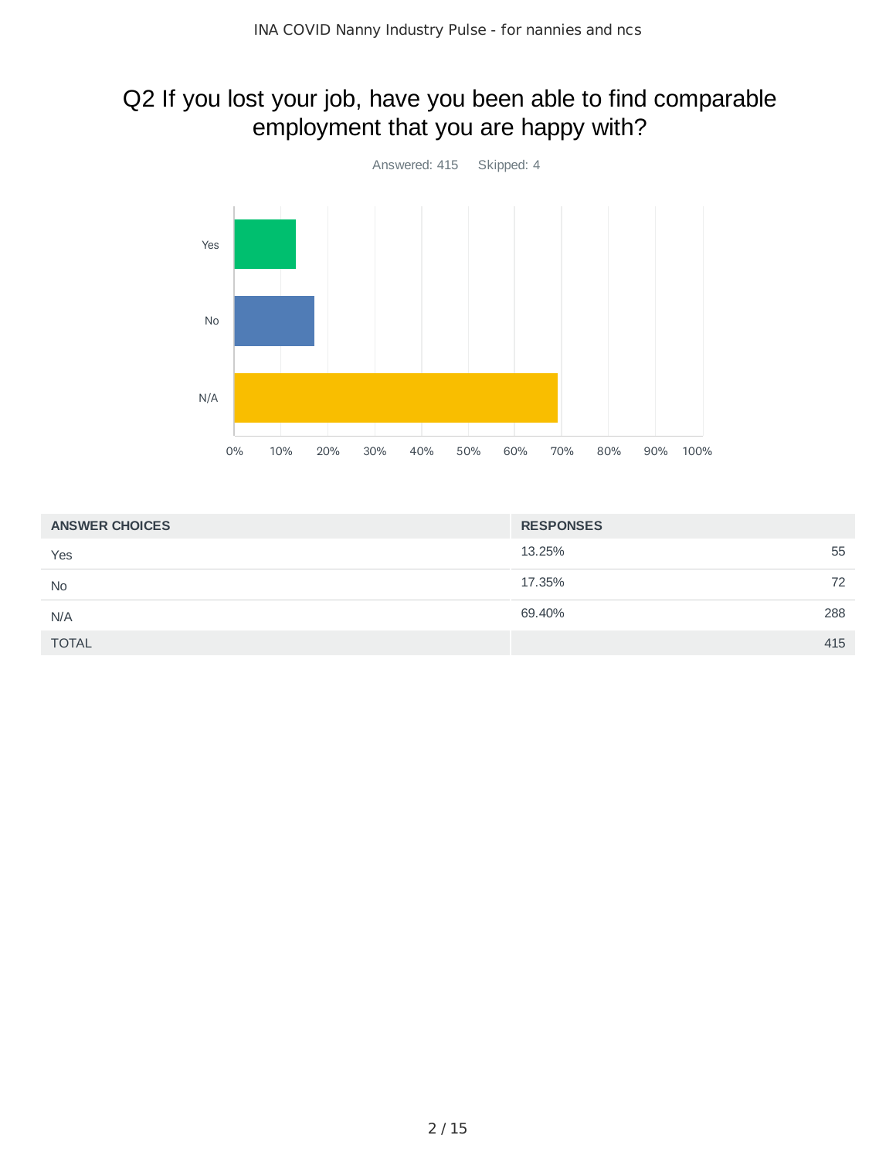#### Q2 If you lost your job, have you been able to find comparable employment that you are happy with?



| <b>ANSWER CHOICES</b> | <b>RESPONSES</b> |
|-----------------------|------------------|
| Yes                   | 13.25%<br>55     |
| <b>No</b>             | 17.35%<br>72     |
| N/A                   | 69.40%<br>288    |
| <b>TOTAL</b>          | 415              |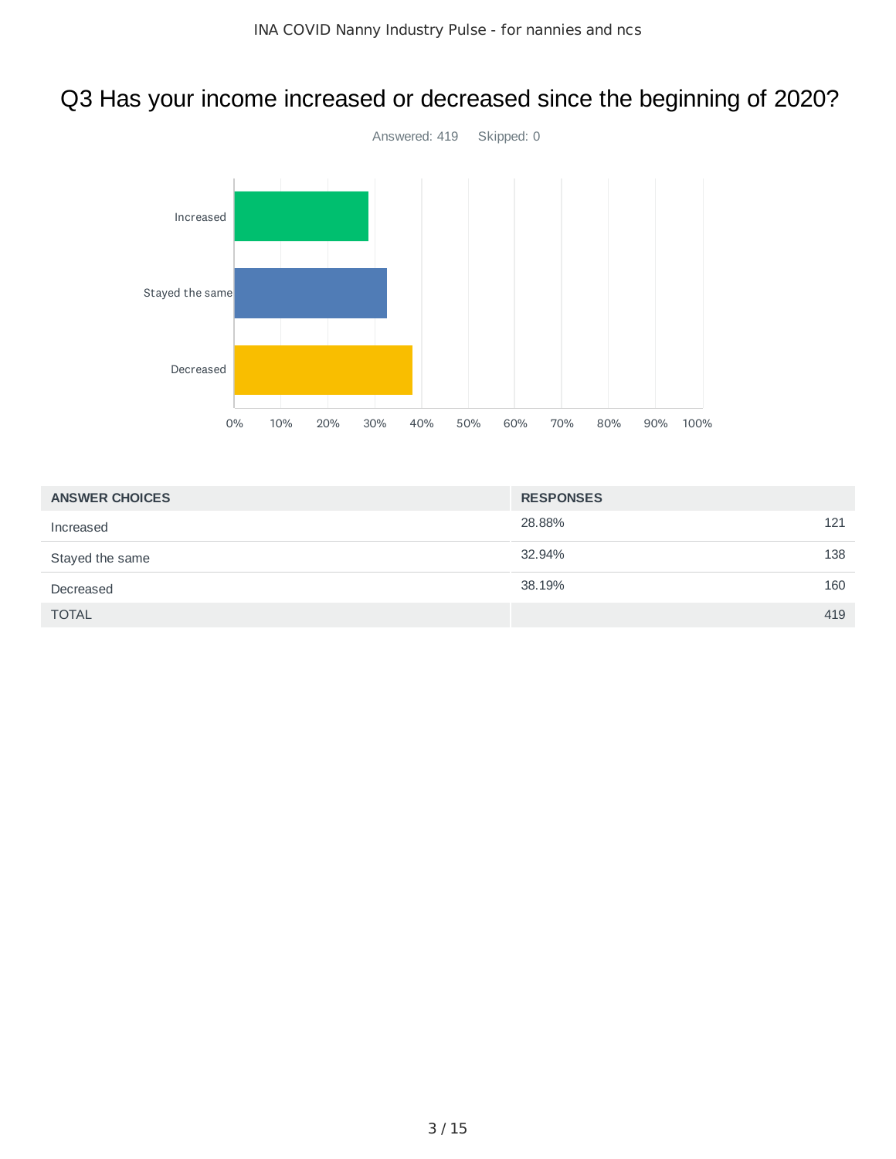# Q3 Has your income increased or decreased since the beginning of 2020?



| <b>ANSWER CHOICES</b> | <b>RESPONSES</b> |     |
|-----------------------|------------------|-----|
| Increased             | 28.88%           | 121 |
| Stayed the same       | 32.94%           | 138 |
| Decreased             | 38.19%           | 160 |
| <b>TOTAL</b>          |                  | 419 |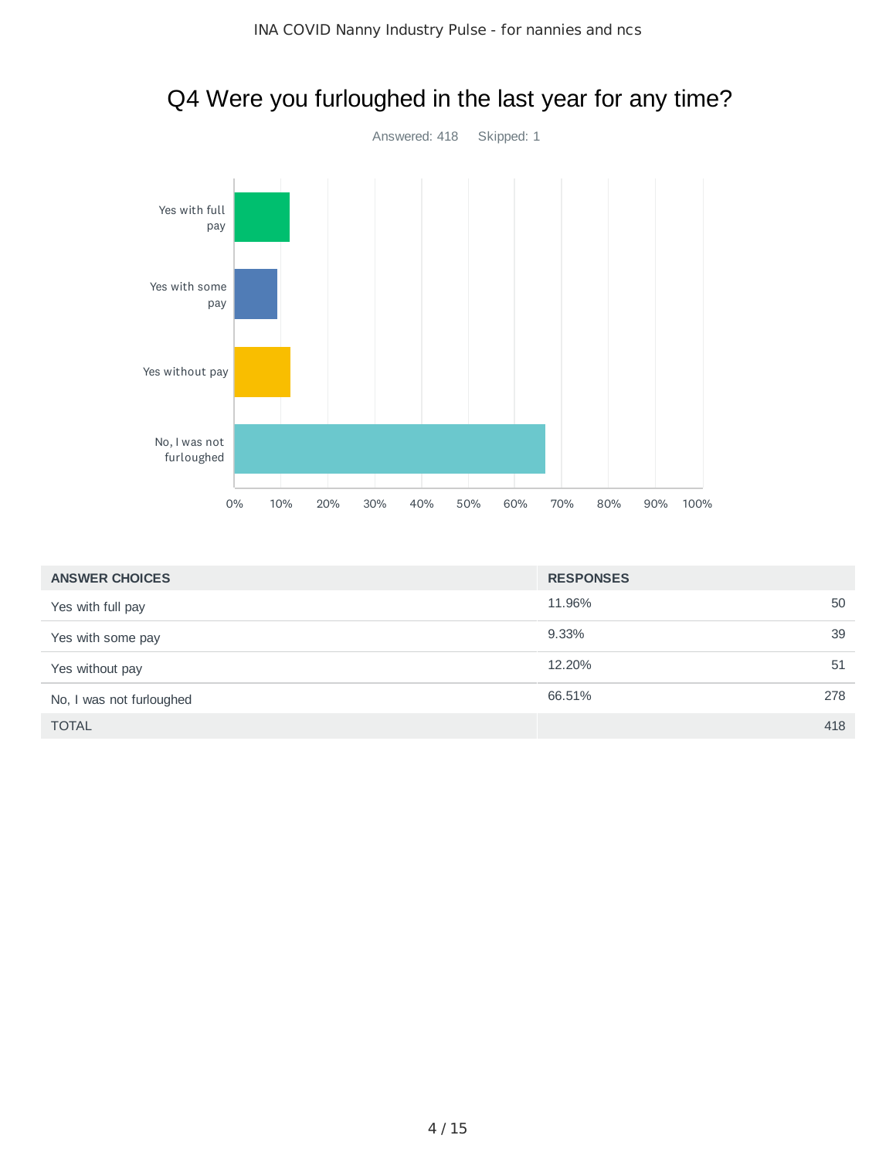

#### Q4 Were you furloughed in the last year for any time?

| <b>ANSWER CHOICES</b>    | <b>RESPONSES</b> |     |
|--------------------------|------------------|-----|
| Yes with full pay        | 11.96%           | 50  |
| Yes with some pay        | 9.33%            | 39  |
| Yes without pay          | 12.20%           | 51  |
| No, I was not furloughed | 66.51%           | 278 |
| <b>TOTAL</b>             |                  | 418 |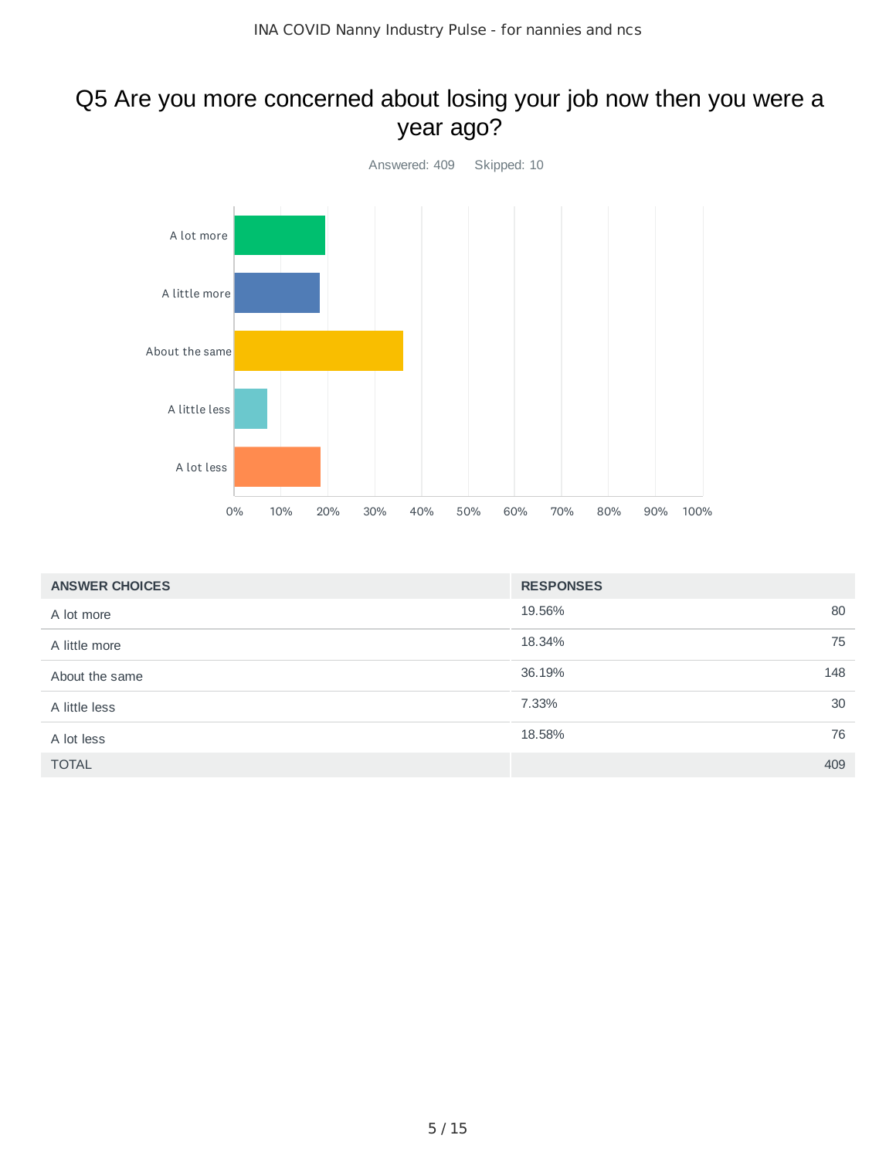#### Q5 Are you more concerned about losing your job now then you were a year ago?



| <b>ANSWER CHOICES</b> | <b>RESPONSES</b> |     |
|-----------------------|------------------|-----|
| A lot more            | 19.56%           | 80  |
| A little more         | 18.34%           | 75  |
| About the same        | 36.19%           | 148 |
| A little less         | 7.33%            | 30  |
| A lot less            | 18.58%           | 76  |
| <b>TOTAL</b>          |                  | 409 |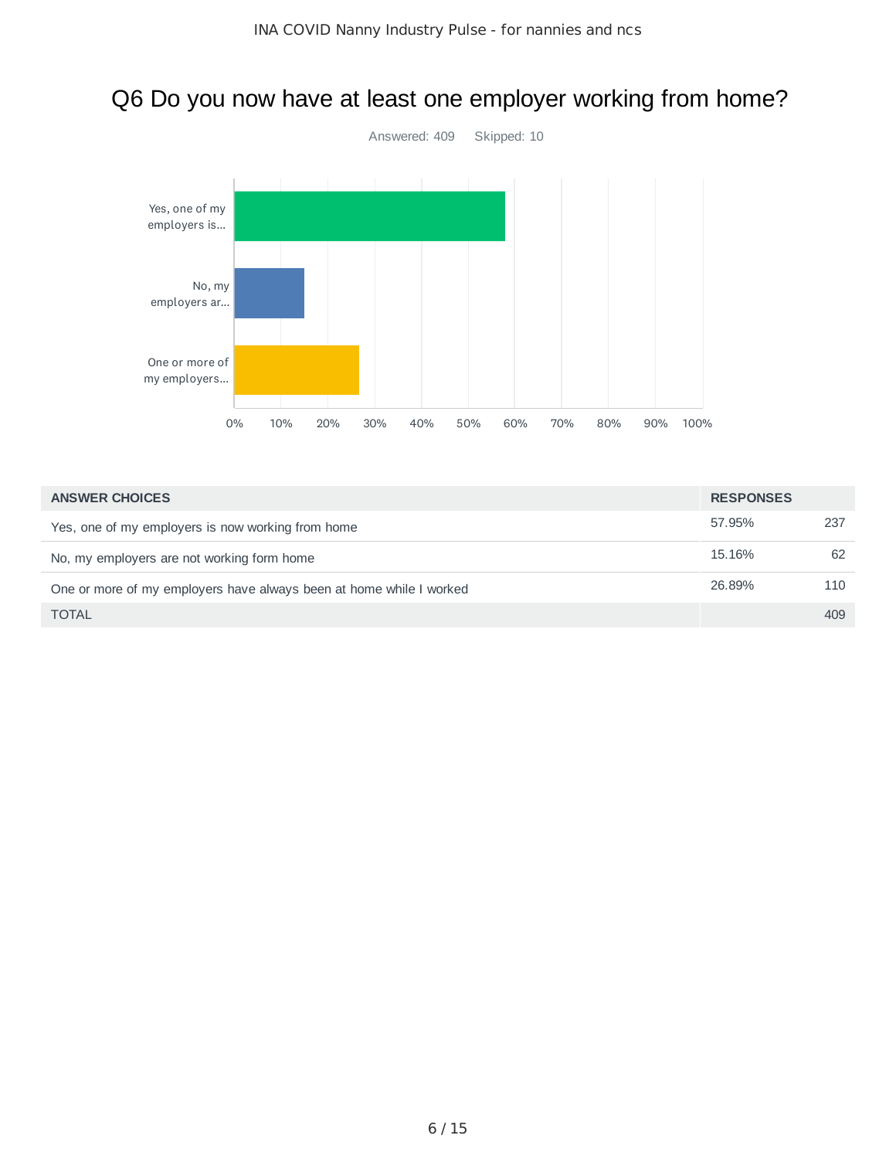# Answered: 409 Skipped: 10 0% 10% 20% 30% 40% 50% 60% 70% 80% 90% 100% Yes, one of my employers is... No, my employers ar... One or more of my employers...

| <b>ANSWER CHOICES</b>                                               | <b>RESPONSES</b> |     |
|---------------------------------------------------------------------|------------------|-----|
| Yes, one of my employers is now working from home                   | 57.95%           | 237 |
| No, my employers are not working form home                          | 15.16%           | 62  |
| One or more of my employers have always been at home while I worked | 26.89%           | 110 |
| <b>TOTAL</b>                                                        |                  | 409 |

### Q6 Do you now have at least one employer working from home?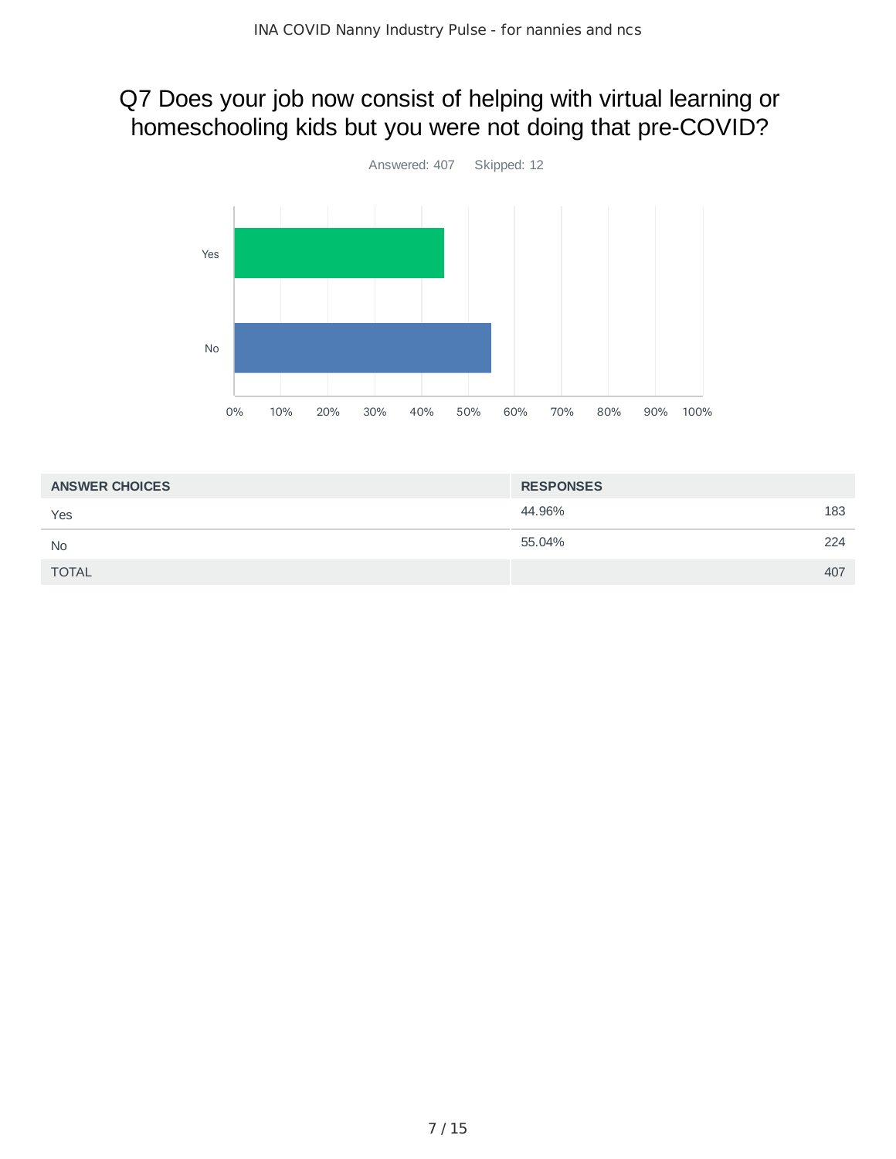#### Q7 Does your job now consist of helping with virtual learning or homeschooling kids but you were not doing that pre-COVID?



| <b>ANSWER CHOICES</b> | <b>RESPONSES</b> |     |
|-----------------------|------------------|-----|
| Yes                   | 44.96%           | 183 |
| <b>No</b>             | 55.04%           | 224 |
| <b>TOTAL</b>          |                  | 407 |
|                       |                  |     |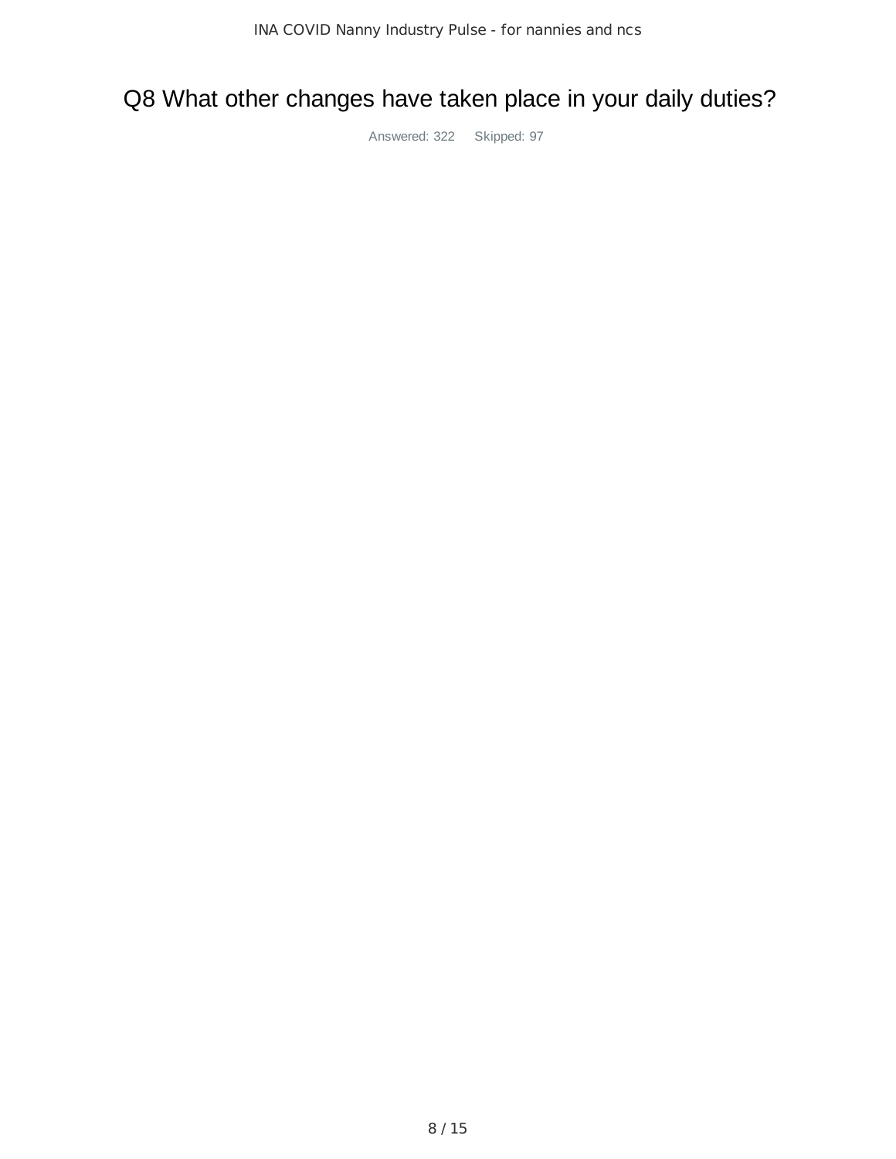#### Q8 What other changes have taken place in your daily duties?

Answered: 322 Skipped: 97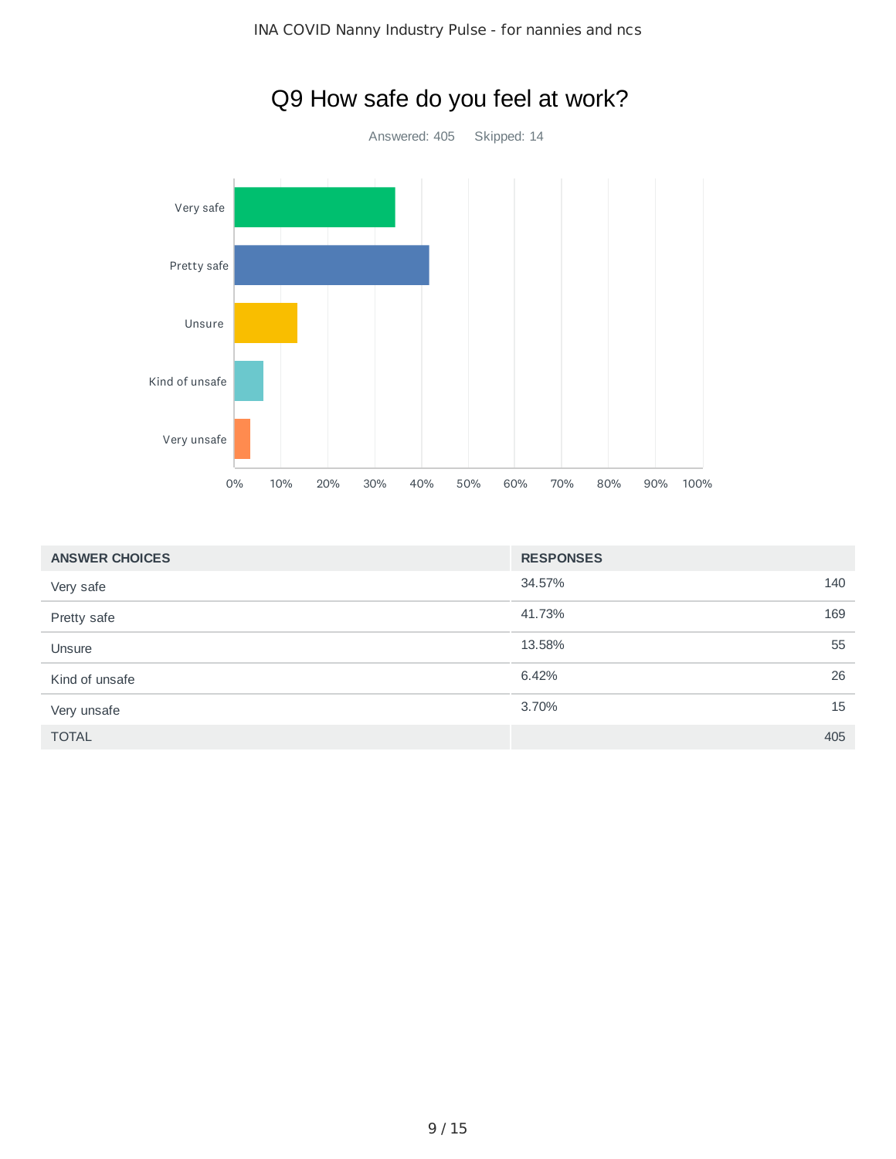

| <b>ANSWER CHOICES</b> | <b>RESPONSES</b> |     |
|-----------------------|------------------|-----|
| Very safe             | 34.57%           | 140 |
| Pretty safe           | 41.73%           | 169 |
| Unsure                | 13.58%           | 55  |
| Kind of unsafe        | 6.42%            | 26  |
| Very unsafe           | 3.70%            | 15  |
| <b>TOTAL</b>          |                  | 405 |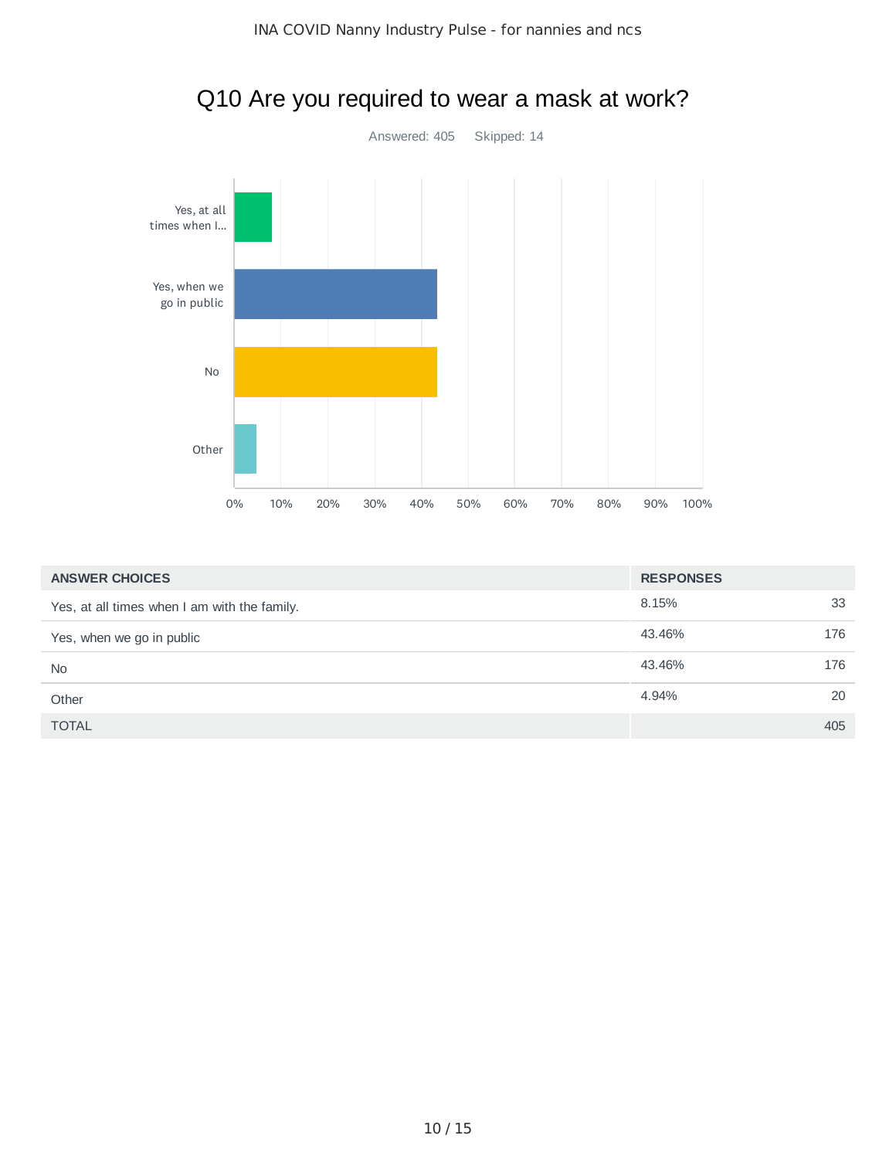

| <b>ANSWER CHOICES</b>                        | <b>RESPONSES</b> |     |
|----------------------------------------------|------------------|-----|
| Yes, at all times when I am with the family. | 8.15%            | 33  |
| Yes, when we go in public                    | 43.46%           | 176 |
| <b>No</b>                                    | 43.46%           | 176 |
| Other                                        | 4.94%            | 20  |
| <b>TOTAL</b>                                 |                  | 405 |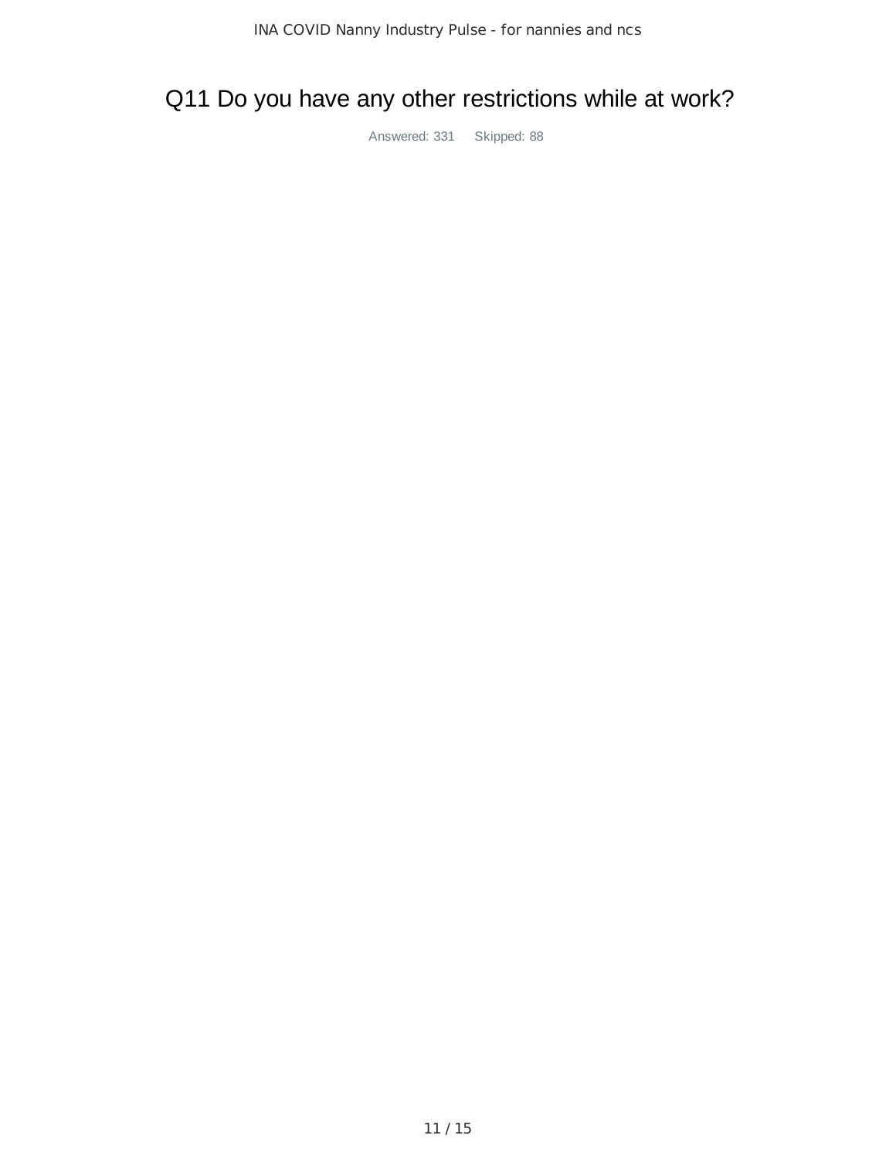# Q11 Do you have any other restrictions while at work?

Answered: 331 Skipped: 88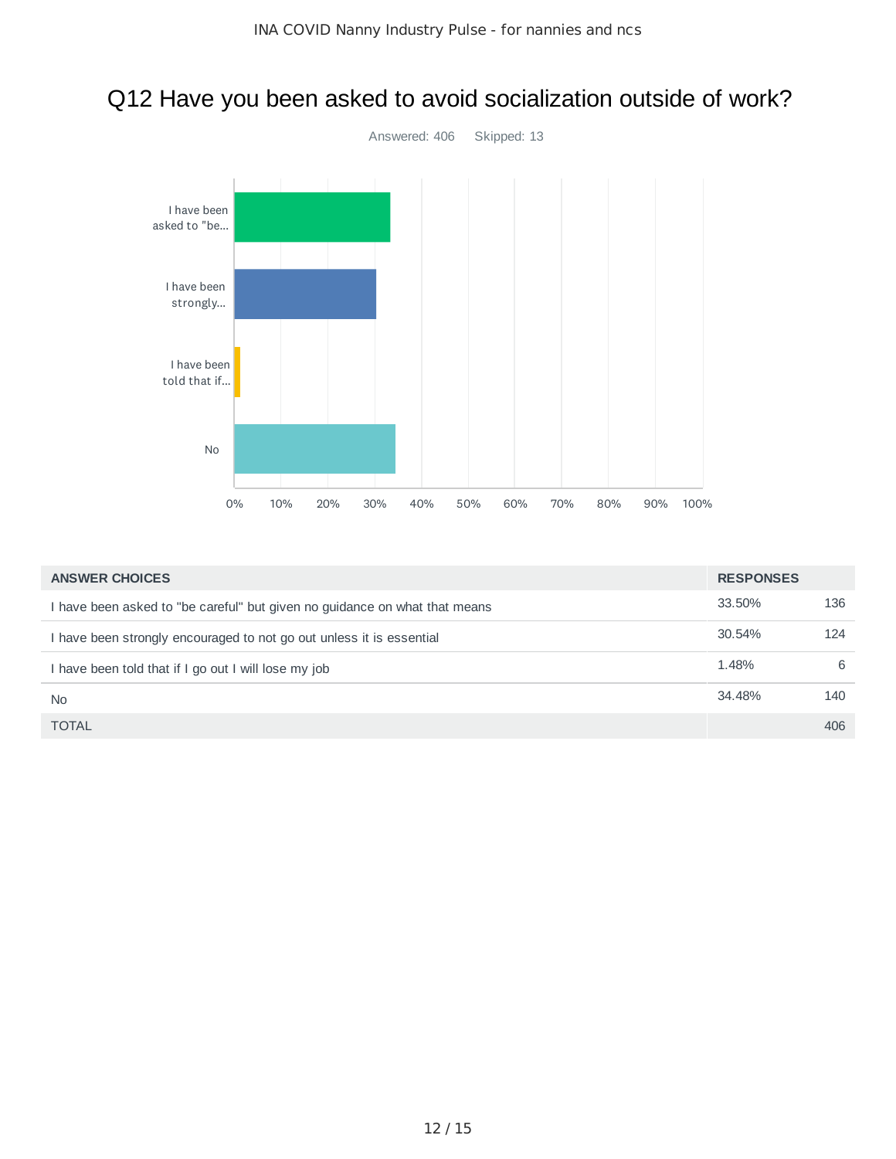# Q12 Have you been asked to avoid socialization outside of work?



| <b>ANSWER CHOICES</b>                                                      | <b>RESPONSES</b> |     |
|----------------------------------------------------------------------------|------------------|-----|
| I have been asked to "be careful" but given no guidance on what that means | 33.50%           | 136 |
| I have been strongly encouraged to not go out unless it is essential       | 30.54%           | 124 |
| I have been told that if I go out I will lose my job                       | 1.48%            | 6   |
| <b>No</b>                                                                  | 34.48%           | 140 |
| <b>TOTAL</b>                                                               |                  | 406 |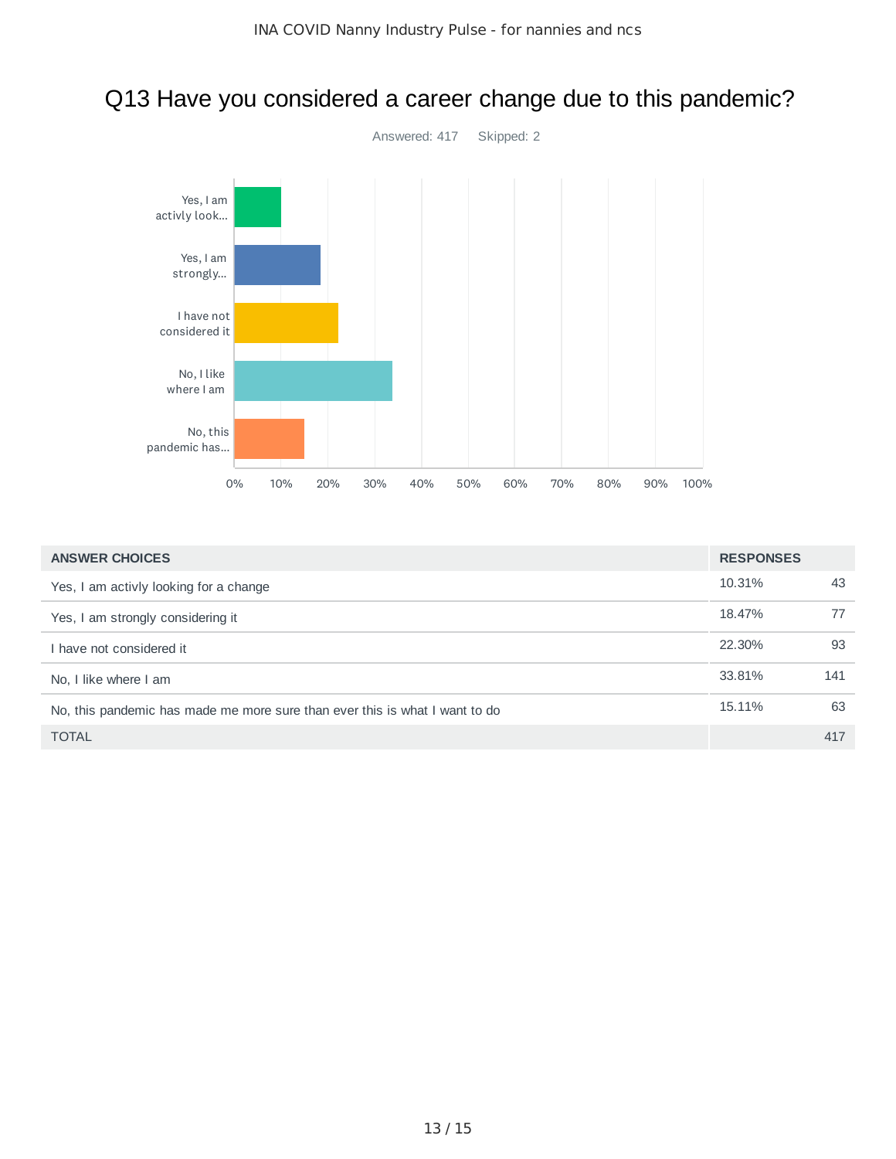

#### Q13 Have you considered a career change due to this pandemic?

| <b>ANSWER CHOICES</b>                                                       | <b>RESPONSES</b> |     |
|-----------------------------------------------------------------------------|------------------|-----|
| Yes, I am activly looking for a change                                      | 10.31%           | 43  |
| Yes, I am strongly considering it                                           | 18.47%           | 77  |
| I have not considered it                                                    | 22.30%           | 93  |
| No. I like where I am                                                       | 33.81%           | 141 |
| No, this pandemic has made me more sure than ever this is what I want to do | 15.11%           | 63  |
| <b>TOTAL</b>                                                                |                  | 417 |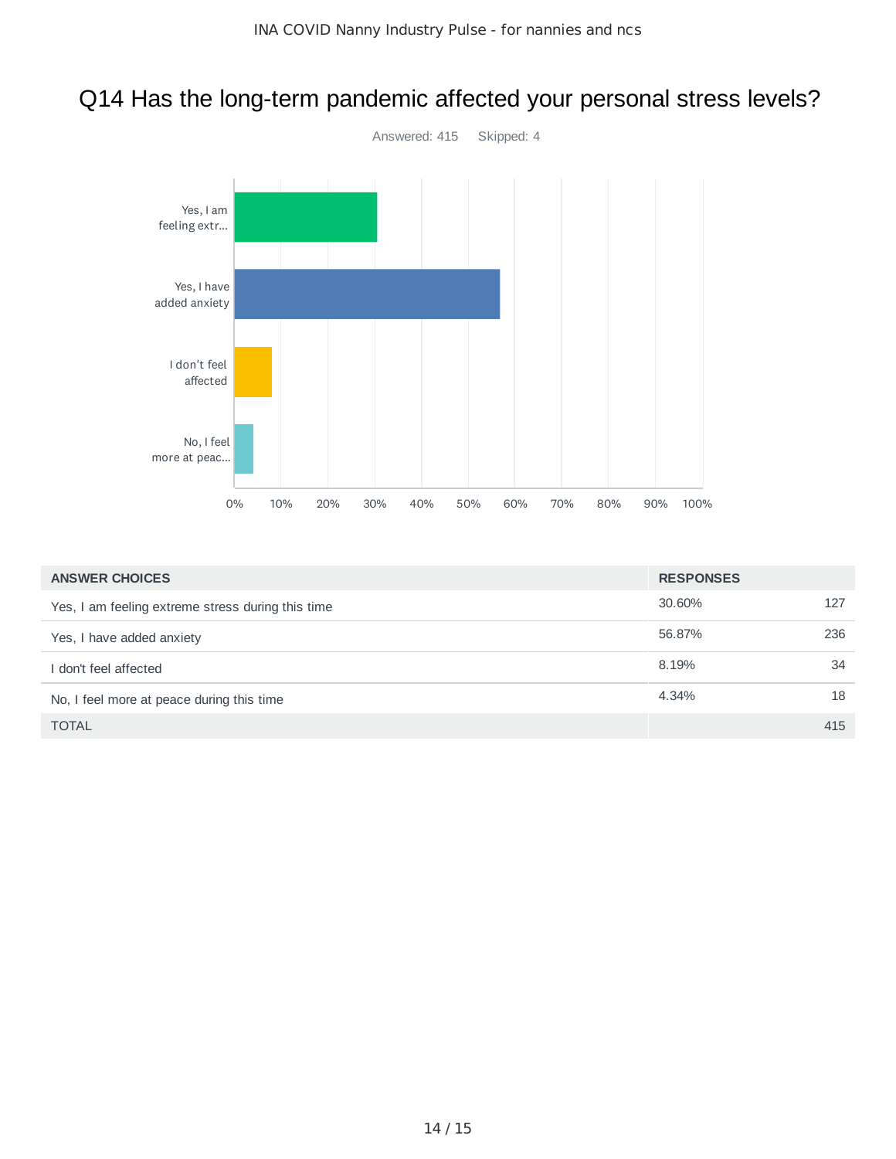#### Q14 Has the long-term pandemic affected your personal stress levels?



| <b>ANSWER CHOICES</b>                             | <b>RESPONSES</b> |     |
|---------------------------------------------------|------------------|-----|
| Yes, I am feeling extreme stress during this time | 30.60%           | 127 |
| Yes, I have added anxiety                         | 56.87%           | 236 |
| don't feel affected                               | 8.19%            | 34  |
| No, I feel more at peace during this time         | 4.34%            | 18  |
| <b>TOTAL</b>                                      |                  | 415 |